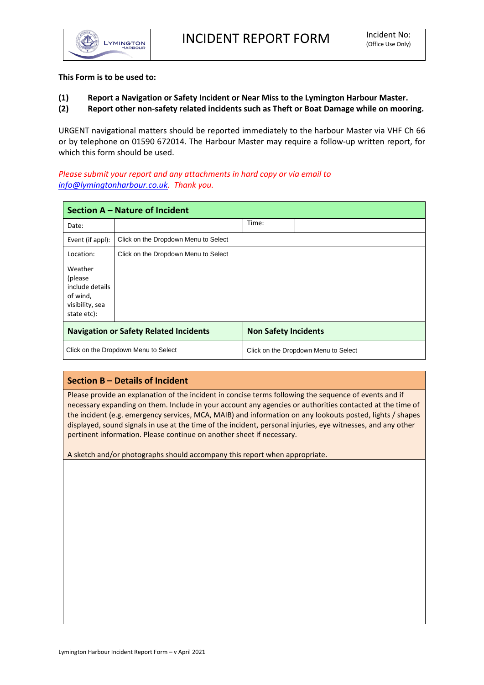

## **This Form is to be used to:**

## **(1) Report a Navigation or Safety Incident or Near Miss to the Lymington Harbour Master.**

**(2) Report other non-safety related incidents such as Theft or Boat Damage while on mooring.**

URGENT navigational matters should be reported immediately to the harbour Master via VHF Ch 66 or by telephone on 01590 672014. The Harbour Master may require a follow-up written report, for which this form should be used.

## *Please submit your report and any attachments in hard copy or via email to [info@lymingtonharbour.co.uk.](mailto:info@lymingtonharbour.co.uk) Thank you.*

| Section A - Nature of Incident                                                       |                                      |                                      |  |  |  |  |
|--------------------------------------------------------------------------------------|--------------------------------------|--------------------------------------|--|--|--|--|
| Date:                                                                                |                                      | Time:                                |  |  |  |  |
| Event (if appl):                                                                     | Click on the Dropdown Menu to Select |                                      |  |  |  |  |
| Location:                                                                            | Click on the Dropdown Menu to Select |                                      |  |  |  |  |
| Weather<br>(please)<br>include details<br>of wind,<br>visibility, sea<br>state etc): |                                      |                                      |  |  |  |  |
| <b>Navigation or Safety Related Incidents</b>                                        |                                      | <b>Non Safety Incidents</b>          |  |  |  |  |
| Click on the Dropdown Menu to Select                                                 |                                      | Click on the Dropdown Menu to Select |  |  |  |  |

## **Section B – Details of Incident**

Please provide an explanation of the incident in concise terms following the sequence of events and if necessary expanding on them. Include in your account any agencies or authorities contacted at the time of the incident (e.g. emergency services, MCA, MAIB) and information on any lookouts posted, lights / shapes displayed, sound signals in use at the time of the incident, personal injuries, eye witnesses, and any other pertinent information. Please continue on another sheet if necessary.

A sketch and/or photographs should accompany this report when appropriate.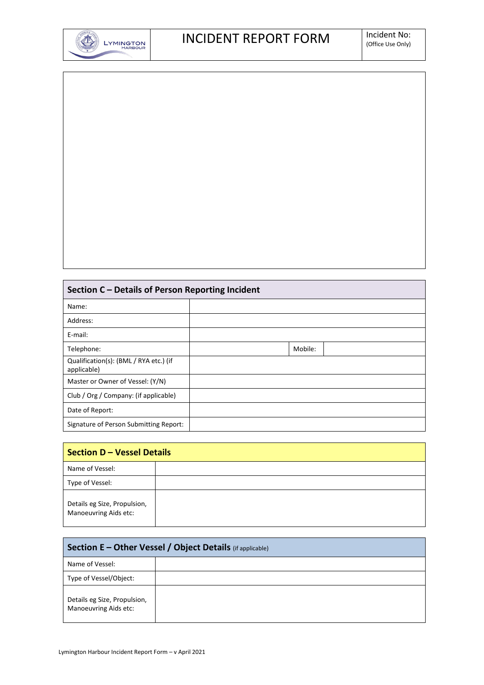

| Section C - Details of Person Reporting Incident |  |  |  |  |
|--------------------------------------------------|--|--|--|--|

| Section C – Details of Person Reporting Incident      |         |  |  |  |
|-------------------------------------------------------|---------|--|--|--|
| Name:                                                 |         |  |  |  |
| Address:                                              |         |  |  |  |
| E-mail:                                               |         |  |  |  |
| Telephone:                                            | Mobile: |  |  |  |
| Qualification(s): (BML / RYA etc.) (if<br>applicable) |         |  |  |  |
| Master or Owner of Vessel: (Y/N)                      |         |  |  |  |
| Club / Org / Company: (if applicable)                 |         |  |  |  |
| Date of Report:                                       |         |  |  |  |
| Signature of Person Submitting Report:                |         |  |  |  |

| <b>Section D - Vessel Details</b>                     |  |  |  |  |
|-------------------------------------------------------|--|--|--|--|
| Name of Vessel:                                       |  |  |  |  |
| Type of Vessel:                                       |  |  |  |  |
| Details eg Size, Propulsion,<br>Manoeuvring Aids etc: |  |  |  |  |

| <b>Section E – Other Vessel / Object Details</b> (if applicable) |  |  |  |  |
|------------------------------------------------------------------|--|--|--|--|
| Name of Vessel:                                                  |  |  |  |  |
| Type of Vessel/Object:                                           |  |  |  |  |
| Details eg Size, Propulsion,<br>Manoeuvring Aids etc:            |  |  |  |  |